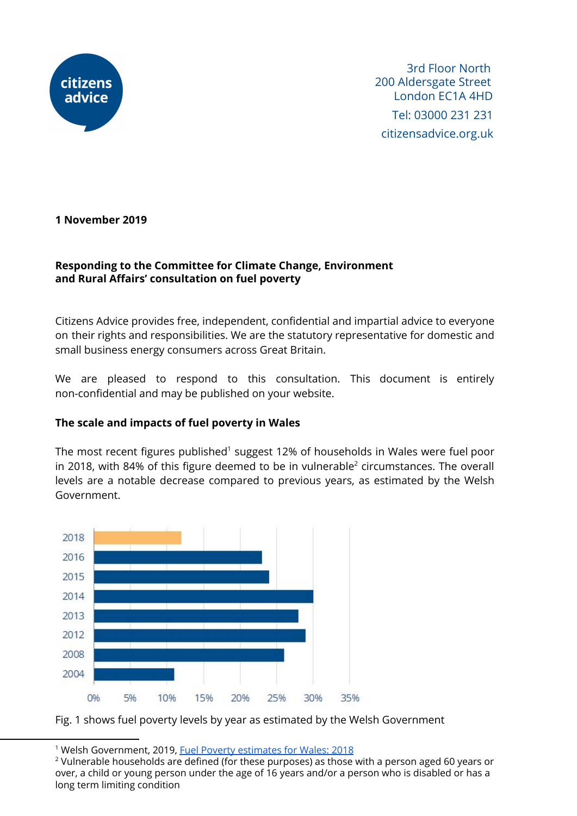

 3rd Floor North 200 Aldersgate Street London EC1A 4HD Tel: 03000 231 231 citizensadvice.org.uk

**1 November 2019**

### **Responding to the Committee for Climate Change, Environment and Rural Affairs' consultation on fuel poverty**

Citizens Advice provides free, independent, confidential and impartial advice to everyone on their rights and responsibilities. We are the statutory representative for domestic and small business energy consumers across Great Britain.

We are pleased to respond to this consultation. This document is entirely non-confidential and may be published on your website.

# **The scale and impacts of fuel poverty in Wales**

The most recent figures published<sup>1</sup> suggest 12% of households in Wales were fuel poor in 2018, with 84% of this figure deemed to be in vulnerable $^2$  circumstances. The overall levels are a notable decrease compared to previous years, as estimated by the Welsh Government.



Fig. 1 shows fuel poverty levels by year as estimated by the Welsh Government

<sup>&</sup>lt;sup>1</sup> Welsh Government, 2019, Fuel Poverty [estimates](https://gov.wales/sites/default/files/statistics-and-research/2019-09/fuel-poverty-estimates-wales-2018-020.pdf) for Wales: 2018

 $2$  Vulnerable households are defined (for these purposes) as those with a person aged 60 years or over, a child or young person under the age of 16 years and/or a person who is disabled or has a long term limiting condition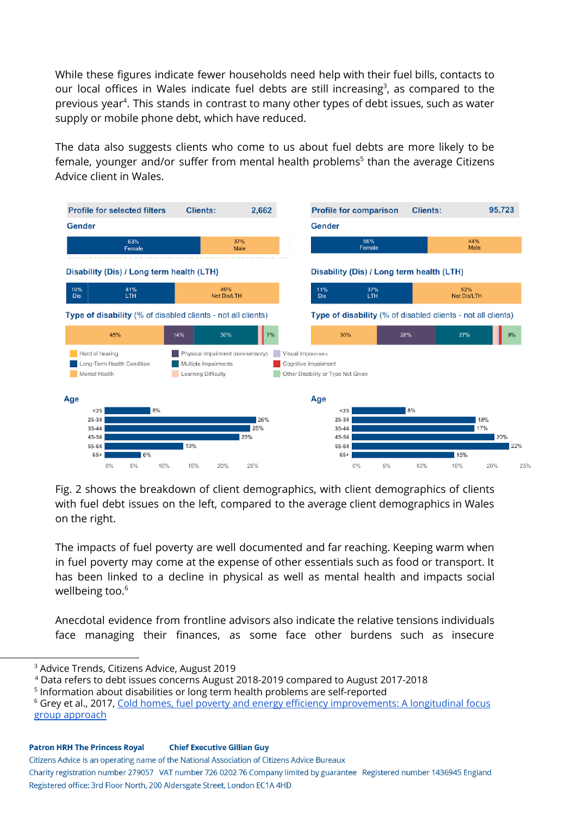While these figures indicate fewer households need help with their fuel bills, contacts to our local offices in Wales indicate fuel debts are still increasing<sup>3</sup>, as compared to the previous year<sup>4</sup>. This stands in contrast to many other types of debt issues, such as water supply or mobile phone debt, which have reduced.

The data also suggests clients who come to us about fuel debts are more likely to be female, younger and/or suffer from mental health problems<sup>5</sup> than the average Citizens Advice client in Wales.



Fig. 2 shows the breakdown of client demographics, with client demographics of clients with fuel debt issues on the left, compared to the average client demographics in Wales on the right.

The impacts of fuel poverty are well documented and far reaching. Keeping warm when in fuel poverty may come at the expense of other essentials such as food or transport. It has been linked to a decline in physical as well as mental health and impacts social wellbeing too. 6

Anecdotal evidence from frontline advisors also indicate the relative tensions individuals face managing their finances, as some face other burdens such as insecure

Citizens Advice is an operating name of the National Association of Citizens Advice Bureaux

<sup>3</sup> Advice Trends, Citizens Advice, August 2019

<sup>4</sup> Data refers to debt issues concerns August 2018-2019 compared to August 2017-2018

<sup>&</sup>lt;sup>5</sup> Information about disabilities or long term health problems are self-reported

<sup>&</sup>lt;sup>6</sup> Grey et al., 20[17](https://journals.sagepub.com/doi/abs/10.1177/1420326X17703450), Cold homes, fuel poverty and energy efficiency [improvements:](https://journals.sagepub.com/doi/abs/10.1177/1420326X17703450) A longitudinal focus group [approach](https://journals.sagepub.com/doi/abs/10.1177/1420326X17703450)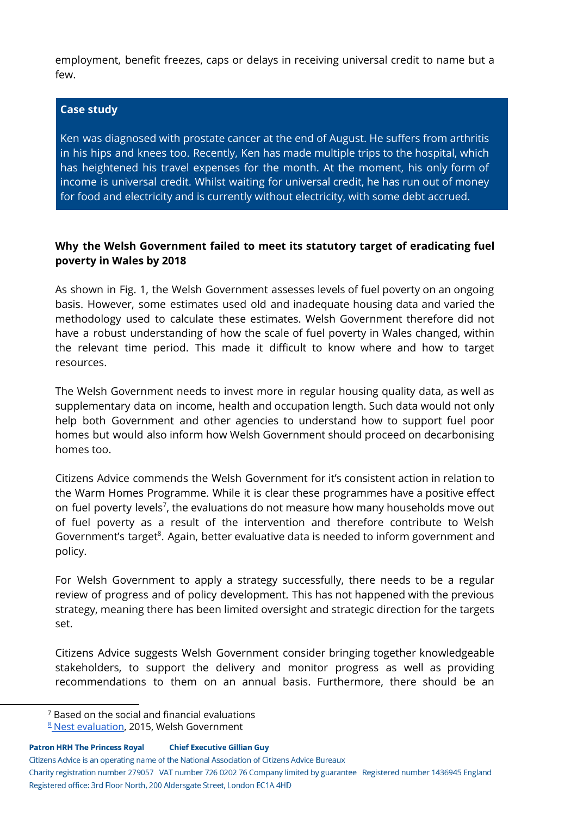employment, benefit freezes, caps or delays in receiving universal credit to name but a few.

#### **Case study**

Ken was diagnosed with prostate cancer at the end of August. He suffers from arthritis in his hips and knees too. Recently, Ken has made multiple trips to the hospital, which has heightened his travel expenses for the month. At the moment, his only form of income is universal credit. Whilst waiting for universal credit, he has run out of money for food and electricity and is currently without electricity, with some debt accrued.

### **Why the Welsh Government failed to meet its statutory target of eradicating fuel poverty in Wales by 2018**

As shown in Fig. 1, the Welsh Government assesses levels of fuel poverty on an ongoing basis. However, some estimates used old and inadequate housing data and varied the methodology used to calculate these estimates. Welsh Government therefore did not have a robust understanding of how the scale of fuel poverty in Wales changed, within the relevant time period. This made it difficult to know where and how to target resources.

The Welsh Government needs to invest more in regular housing quality data, as well as supplementary data on income, health and occupation length. Such data would not only help both Government and other agencies to understand how to support fuel poor homes but would also inform how Welsh Government should proceed on decarbonising homes too.

Citizens Advice commends the Welsh Government for it's consistent action in relation to the Warm Homes Programme. While it is clear these programmes have a positive effect on fuel poverty levels $^7$ , the evaluations do not measure how many households move out of fuel poverty as a result of the intervention and therefore contribute to Welsh Government's target<sup>8</sup>. Again, better evaluative data is needed to inform government and policy.

For Welsh Government to apply a strategy successfully, there needs to be a regular review of progress and of policy development. This has not happened with the previous strategy, meaning there has been limited oversight and strategic direction for the targets set.

Citizens Advice suggests Welsh Government consider bringing together knowledgeable stakeholders, to support the delivery and monitor progress as well as providing recommendations to them on an annual basis. Furthermore, there should be an

**Patron HRH The Princess Royal Chief Executive Gillian Guy** 

Citizens Advice is an operating name of the National Association of Citizens Advice Bureaux

 $7$  Based on the social and financial evaluations

**<sup>8</sup> Nest [evaluation](https://gweddill.gov.wales/docs/caecd/research/2015/150310-evaluation-nest-energy-efficiency-scheme-en.pdf), 2015, Welsh Government**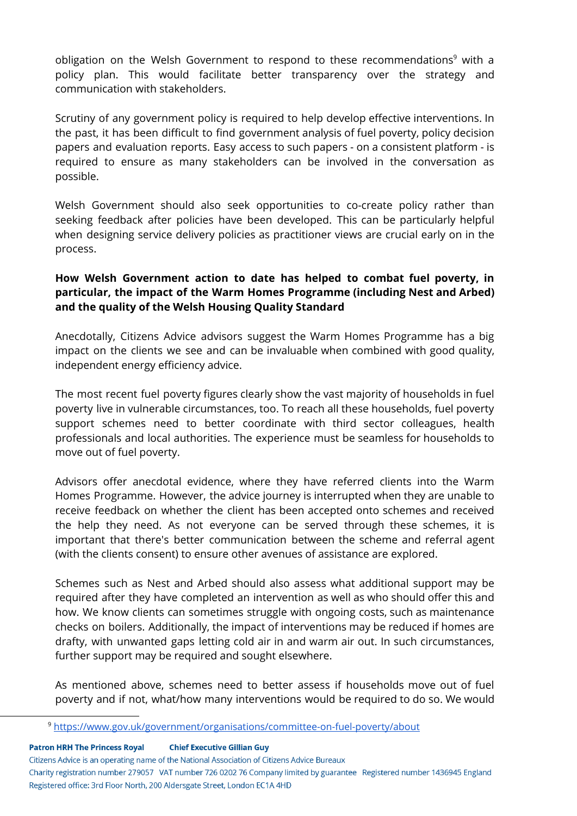obligation on the Welsh Government to respond to these recommendations<sup>9</sup> with a policy plan. This would facilitate better transparency over the strategy and communication with stakeholders.

Scrutiny of any government policy is required to help develop effective interventions. In the past, it has been difficult to find government analysis of fuel poverty, policy decision papers and evaluation reports. Easy access to such papers - on a consistent platform - is required to ensure as many stakeholders can be involved in the conversation as possible.

Welsh Government should also seek opportunities to co-create policy rather than seeking feedback after policies have been developed. This can be particularly helpful when designing service delivery policies as practitioner views are crucial early on in the process.

# **How Welsh Government action to date has helped to combat fuel poverty, in particular, the impact of the Warm Homes Programme (including Nest and Arbed) and the quality of the Welsh Housing Quality Standard**

Anecdotally, Citizens Advice advisors suggest the Warm Homes Programme has a big impact on the clients we see and can be invaluable when combined with good quality, independent energy efficiency advice.

The most recent fuel poverty figures clearly show the vast majority of households in fuel poverty live in vulnerable circumstances, too. To reach all these households, fuel poverty support schemes need to better coordinate with third sector colleagues, health professionals and local authorities. The experience must be seamless for households to move out of fuel poverty.

Advisors offer anecdotal evidence, where they have referred clients into the Warm Homes Programme. However, the advice journey is interrupted when they are unable to receive feedback on whether the client has been accepted onto schemes and received the help they need. As not everyone can be served through these schemes, it is important that there's better communication between the scheme and referral agent (with the clients consent) to ensure other avenues of assistance are explored.

Schemes such as Nest and Arbed should also assess what additional support may be required after they have completed an intervention as well as who should offer this and how. We know clients can sometimes struggle with ongoing costs, such as maintenance checks on boilers. Additionally, the impact of interventions may be reduced if homes are drafty, with unwanted gaps letting cold air in and warm air out. In such circumstances, further support may be required and sought elsewhere.

As mentioned above, schemes need to better assess if households move out of fuel poverty and if not, what/how many interventions would be required to do so. We would

**Patron HRH The Princess Royal Chief Executive Gillian Guy** 

Citizens Advice is an operating name of the National Association of Citizens Advice Bureaux

<sup>9</sup> <https://www.gov.uk/government/organisations/committee-on-fuel-poverty/about>

Charity registration number 279057 VAT number 726 0202 76 Company limited by guarantee Registered number 1436945 England Registered office: 3rd Floor North, 200 Aldersgate Street, London EC1A 4HD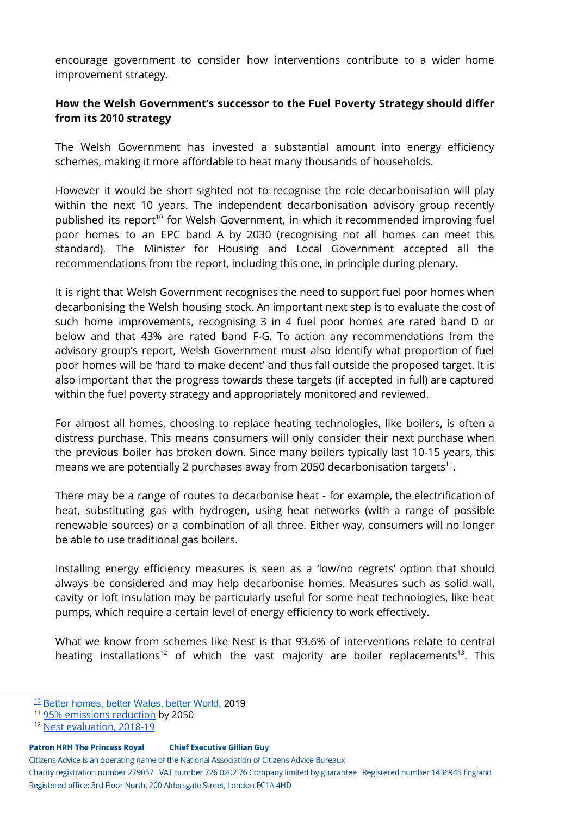encourage government to consider how interventions contribute to a wider home improvement strategy.

### **How the Welsh Government's successor to the Fuel Poverty Strategy should differ from its 2010 strategy**

The Welsh Government has invested a substantial amount into energy efficiency schemes, making it more affordable to heat many thousands of households.

However it would be short sighted not to recognise the role decarbonisation will play within the next 10 years. The independent decarbonisation advisory group recently published its report<sup>10</sup> for Welsh Government, in which it recommended improving fuel poor homes to an EPC band A by 2030 (recognising not all homes can meet this standard). The Minister for Housing and Local Government accepted all the recommendations from the report, including this one, in principle during plenary.

It is right that Welsh Government recognises the need to support fuel poor homes when decarbonising the Welsh housing stock. An important next step is to evaluate the cost of such home improvements, recognising 3 in 4 fuel poor homes are rated band D or below and that 43% are rated band F-G. To action any recommendations from the advisory group's report, Welsh Government must also identify what proportion of fuel poor homes will be 'hard to make decent' and thus fall outside the proposed target. It is also important that the progress towards these targets (if accepted in full) are captured within the fuel poverty strategy and appropriately monitored and reviewed.

For almost all homes, choosing to replace heating technologies, like boilers, is often a distress purchase. This means consumers will only consider their next purchase when the previous boiler has broken down. Since many boilers typically last 10-15 years, this means we are potentially 2 purchases away from 2050 decarbonisation targets $^{\rm 11}.$ 

There may be a range of routes to decarbonise heat - for example, the electrification of heat, substituting gas with hydrogen, using heat networks (with a range of possible renewable sources) or a combination of all three. Either way, consumers will no longer be able to use traditional gas boilers.

Installing energy efficiency measures is seen as a 'low/no regrets' option that should always be considered and may help decarbonise homes. Measures such as solid wall, cavity or loft insulation may be particularly useful for some heat technologies, like heat pumps, which require a certain level of energy efficiency to work effectively.

What we know from schemes like Nest is that 93.6% of interventions relate to central heating installations<sup>12</sup> of which the vast majority are boiler replacements<sup>13</sup>. This

#### **Patron HRH The Princess Royal Chief Executive Gillian Guy**

Citizens Advice is an operating name of the National Association of Citizens Advice Bureaux

<sup>&</sup>lt;sup>10</sup> Better [homes,](https://gov.wales/independent-review-decarbonising-welsh-homes-report) better Wales, better World, 2019

<sup>11</sup> 95% [emissions](https://gov.wales/wales-accepts-committee-climate-change-95-emissions-reduction-target) reduction by 2050

<sup>&</sup>lt;sup>12</sup> Nest [evaluation,](https://nest.gov.wales/workspace/uploads/files/nest-annual-report-2019-engli-5d3ac3dfd5d07.pdf) 2018-19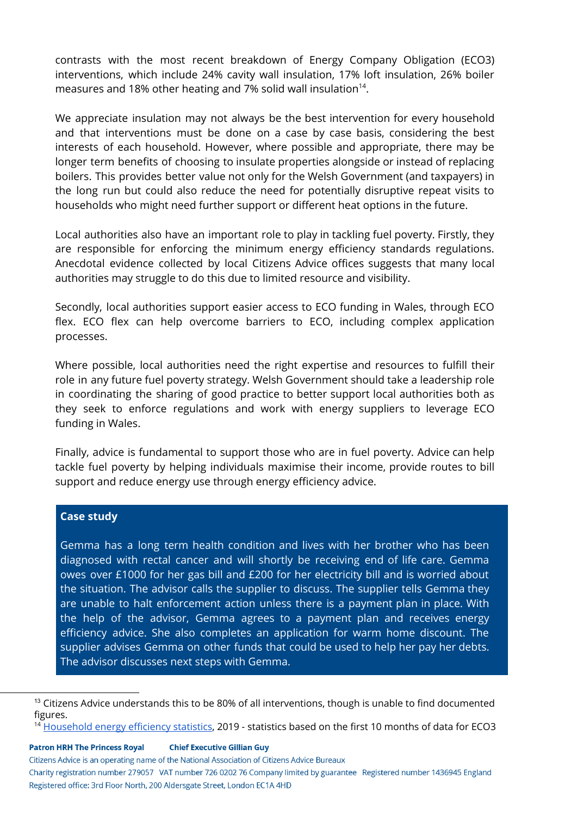contrasts with the most recent breakdown of Energy Company Obligation (ECO3) interventions, which include 24% cavity wall insulation, 17% loft insulation, 26% boiler measures and 18% other heating and 7% solid wall insulation<sup>14</sup>.

We appreciate insulation may not always be the best intervention for every household and that interventions must be done on a case by case basis, considering the best interests of each household. However, where possible and appropriate, there may be longer term benefits of choosing to insulate properties alongside or instead of replacing boilers. This provides better value not only for the Welsh Government (and taxpayers) in the long run but could also reduce the need for potentially disruptive repeat visits to households who might need further support or different heat options in the future.

Local authorities also have an important role to play in tackling fuel poverty. Firstly, they are responsible for enforcing the minimum energy efficiency standards regulations. Anecdotal evidence collected by local Citizens Advice offices suggests that many local authorities may struggle to do this due to limited resource and visibility.

Secondly, local authorities support easier access to ECO funding in Wales, through ECO flex. ECO flex can help overcome barriers to ECO, including complex application processes.

Where possible, local authorities need the right expertise and resources to fulfill their role in any future fuel poverty strategy. Welsh Government should take a leadership role in coordinating the sharing of good practice to better support local authorities both as they seek to enforce regulations and work with energy suppliers to leverage ECO funding in Wales.

Finally, advice is fundamental to support those who are in fuel poverty. Advice can help tackle fuel poverty by helping individuals maximise their income, provide routes to bill support and reduce energy use through energy efficiency advice.

#### **Case study**

Gemma has a long term health condition and lives with her brother who has been diagnosed with rectal cancer and will shortly be receiving end of life care. Gemma owes over £1000 for her gas bill and £200 for her electricity bill and is worried about the situation. The advisor calls the supplier to discuss. The supplier tells Gemma they are unable to halt enforcement action unless there is a payment plan in place. With the help of the advisor, Gemma agrees to a payment plan and receives energy efficiency advice. She also completes an application for warm home discount. The supplier advises Gemma on other funds that could be used to help her pay her debts. The advisor discusses next steps with Gemma.

<sup>14</sup> [Household](https://www.gov.uk/government/statistics/household-energy-efficiency-statistics-headline-release-september-2019) energy efficiency statistics, 2019 - statistics based on the first 10 months of data for ECO3

**Patron HRH The Princess Royal Chief Executive Gillian Guy** 

Citizens Advice is an operating name of the National Association of Citizens Advice Bureaux

<sup>&</sup>lt;sup>13</sup> Citizens Advice understands this to be 80% of all interventions, though is unable to find documented figures.